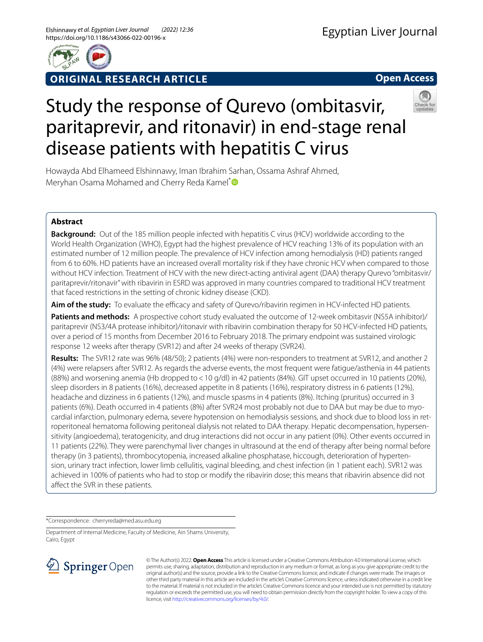

**ORIGINAL RESEARCH ARTICLE**

**Open Access**

# Study the response of Qurevo (ombitasvir, paritaprevir, and ritonavir) in end-stage renal disease patients with hepatitis C virus



Howayda Abd Elhameed Elshinnawy, Iman Ibrahim Sarhan, Ossama Ashraf Ahmed, Meryhan Osama Mohamed and Cherry Reda Kamel\*<sup>®</sup>

# **Abstract**

**Background:** Out of the 185 million people infected with hepatitis C virus (HCV) worldwide according to the World Health Organization (WHO), Egypt had the highest prevalence of HCV reaching 13% of its population with an estimated number of 12 million people. The prevalence of HCV infection among hemodialysis (HD) patients ranged from 6 to 60%. HD patients have an increased overall mortality risk if they have chronic HCV when compared to those without HCV infection. Treatment of HCV with the new direct-acting antiviral agent (DAA) therapy Qurevo "ombitasvir/ paritaprevir/ritonavir" with ribavirin in ESRD was approved in many countries compared to traditional HCV treatment that faced restrictions in the setting of chronic kidney disease (CKD).

Aim of the study: To evaluate the efficacy and safety of Qurevo/ribavirin regimen in HCV-infected HD patients.

**Patients and methods:** A prospective cohort study evaluated the outcome of 12-week ombitasvir (NS5A inhibitor)/ paritaprevir (NS3/4A protease inhibitor)/ritonavir with ribavirin combination therapy for 50 HCV-infected HD patients, over a period of 15 months from December 2016 to February 2018. The primary endpoint was sustained virologic response 12 weeks after therapy (SVR12) and after 24 weeks of therapy (SVR24).

**Results:** The SVR12 rate was 96% (48/50); 2 patients (4%) were non-responders to treatment at SVR12, and another 2 (4%) were relapsers after SVR12. As regards the adverse events, the most frequent were fatigue/asthenia in 44 patients (88%) and worsening anemia (Hb dropped to<10 g/dl) in 42 patients (84%). GIT upset occurred in 10 patients (20%), sleep disorders in 8 patients (16%), decreased appetite in 8 patients (16%), respiratory distress in 6 patients (12%), headache and dizziness in 6 patients (12%), and muscle spasms in 4 patients (8%). Itching (pruritus) occurred in 3 patients (6%). Death occurred in 4 patients (8%) after SVR24 most probably not due to DAA but may be due to myocardial infarction, pulmonary edema, severe hypotension on hemodialysis sessions, and shock due to blood loss in retroperitoneal hematoma following peritoneal dialysis not related to DAA therapy. Hepatic decompensation, hypersensitivity (angioedema), teratogenicity, and drug interactions did not occur in any patient (0%). Other events occurred in 11 patients (22%). They were parenchymal liver changes in ultrasound at the end of therapy after being normal before therapy (in 3 patients), thrombocytopenia, increased alkaline phosphatase, hiccough, deterioration of hypertension, urinary tract infection, lower limb cellulitis, vaginal bleeding, and chest infection (in 1 patient each). SVR12 was achieved in 100% of patients who had to stop or modify the ribavirin dose; this means that ribavirin absence did not afect the SVR in these patients.

\*Correspondence: cherryreda@med.asu.edu.eg

Department of Internal Medicine, Faculty of Medicine, Ain Shams University, Cairo, Egypt



© The Author(s) 2022. **Open Access** This article is licensed under a Creative Commons Attribution 4.0 International License, which permits use, sharing, adaptation, distribution and reproduction in any medium or format, as long as you give appropriate credit to the original author(s) and the source, provide a link to the Creative Commons licence, and indicate if changes were made. The images or other third party material in this article are included in the article's Creative Commons licence, unless indicated otherwise in a credit line to the material. If material is not included in the article's Creative Commons licence and your intended use is not permitted by statutory regulation or exceeds the permitted use, you will need to obtain permission directly from the copyright holder. To view a copy of this licence, visit [http://creativecommons.org/licenses/by/4.0/.](http://creativecommons.org/licenses/by/4.0/)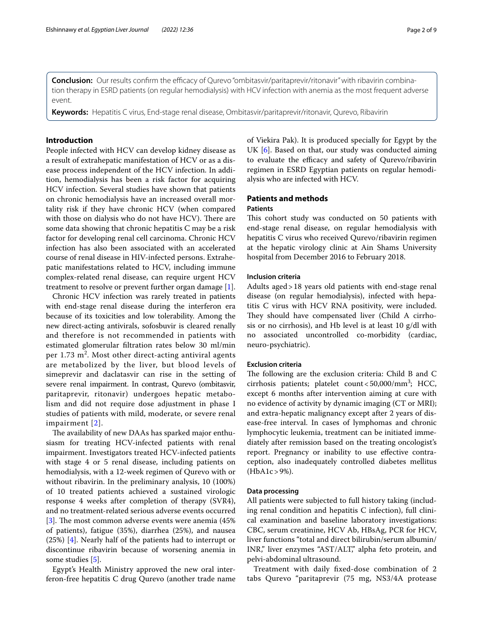**Conclusion:** Our results confirm the efficacy of Qurevo "ombitasvir/paritaprevir/ritonavir" with ribavirin combination therapy in ESRD patients (on regular hemodialysis) with HCV infection with anemia as the most frequent adverse event.

**Keywords:** Hepatitis C virus, End-stage renal disease, Ombitasvir/paritaprevir/ritonavir, Qurevo, Ribavirin

## **Introduction**

People infected with HCV can develop kidney disease as a result of extrahepatic manifestation of HCV or as a disease process independent of the HCV infection. In addition, hemodialysis has been a risk factor for acquiring HCV infection. Several studies have shown that patients on chronic hemodialysis have an increased overall mortality risk if they have chronic HCV (when compared with those on dialysis who do not have HCV). There are some data showing that chronic hepatitis C may be a risk factor for developing renal cell carcinoma. Chronic HCV infection has also been associated with an accelerated course of renal disease in HIV-infected persons. Extrahepatic manifestations related to HCV, including immune complex-related renal disease, can require urgent HCV treatment to resolve or prevent further organ damage [\[1](#page-7-0)].

Chronic HCV infection was rarely treated in patients with end-stage renal disease during the interferon era because of its toxicities and low tolerability. Among the new direct-acting antivirals, sofosbuvir is cleared renally and therefore is not recommended in patients with estimated glomerular fltration rates below 30 ml/min per 1.73  $m^2$ . Most other direct-acting antiviral agents are metabolized by the liver, but blood levels of simeprevir and daclatasvir can rise in the setting of severe renal impairment. In contrast, Qurevo (ombitasvir, paritaprevir, ritonavir) undergoes hepatic metabolism and did not require dose adjustment in phase I studies of patients with mild, moderate, or severe renal impairment [[2](#page-7-1)].

The availability of new DAAs has sparked major enthusiasm for treating HCV-infected patients with renal impairment. Investigators treated HCV-infected patients with stage 4 or 5 renal disease, including patients on hemodialysis, with a 12-week regimen of Qurevo with or without ribavirin. In the preliminary analysis, 10 (100%) of 10 treated patients achieved a sustained virologic response 4 weeks after completion of therapy (SVR4), and no treatment-related serious adverse events occurred [[3\]](#page-7-2). The most common adverse events were anemia  $(45\%$ of patients), fatigue (35%), diarrhea (25%), and nausea (25%) [\[4](#page-7-3)]. Nearly half of the patients had to interrupt or discontinue ribavirin because of worsening anemia in some studies [[5\]](#page-7-4).

Egypt's Health Ministry approved the new oral interferon-free hepatitis C drug Qurevo (another trade name of Viekira Pak). It is produced specially for Egypt by the UK [\[6](#page-7-5)]. Based on that, our study was conducted aiming to evaluate the efficacy and safety of Qurevo/ribavirin regimen in ESRD Egyptian patients on regular hemodialysis who are infected with HCV.

# **Patients and methods**

# **Patients**

This cohort study was conducted on 50 patients with end-stage renal disease, on regular hemodialysis with hepatitis C virus who received Qurevo/ribavirin regimen at the hepatic virology clinic at Ain Shams University hospital from December 2016 to February 2018.

## **Inclusion criteria**

Adults aged>18 years old patients with end-stage renal disease (on regular hemodialysis), infected with hepatitis C virus with HCV RNA positivity, were included. They should have compensated liver (Child A cirrhosis or no cirrhosis), and Hb level is at least 10 g/dl with no associated uncontrolled co-morbidity (cardiac, neuro-psychiatric).

# **Exclusion criteria**

The following are the exclusion criteria: Child B and C cirrhosis patients; platelet count<50,000/mm3 ; HCC, except 6 months after intervention aiming at cure with no evidence of activity by dynamic imaging (CT or MRI); and extra-hepatic malignancy except after 2 years of disease-free interval. In cases of lymphomas and chronic lymphocytic leukemia, treatment can be initiated immediately after remission based on the treating oncologist's report. Pregnancy or inability to use efective contraception, also inadequately controlled diabetes mellitus (HbA1c>9%).

## **Data processing**

All patients were subjected to full history taking (including renal condition and hepatitis C infection), full clinical examination and baseline laboratory investigations: CBC, serum creatinine, HCV Ab, HBsAg, PCR for HCV, liver functions "total and direct bilirubin/serum albumin/ INR," liver enzymes "AST/ALT," alpha feto protein, and pelvi-abdominal ultrasound.

Treatment with daily fxed-dose combination of 2 tabs Qurevo "paritaprevir (75 mg, NS3/4A protease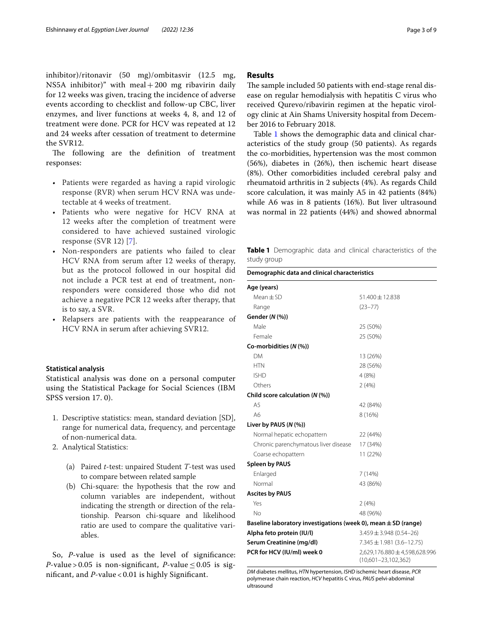inhibitor)/ritonavir (50 mg)/ombitasvir (12.5 mg, NS5A inhibitor)" with meal  $+200$  mg ribavirin daily for 12 weeks was given, tracing the incidence of adverse events according to checklist and follow-up CBC, liver enzymes, and liver functions at weeks 4, 8, and 12 of treatment were done. PCR for HCV was repeated at 12 and 24 weeks after cessation of treatment to determine the SVR12.

The following are the definition of treatment responses:

- Patients were regarded as having a rapid virologic response (RVR) when serum HCV RNA was undetectable at 4 weeks of treatment.
- Patients who were negative for HCV RNA at 12 weeks after the completion of treatment were considered to have achieved sustained virologic response (SVR 12) [[7\]](#page-7-6).
- Non-responders are patients who failed to clear HCV RNA from serum after 12 weeks of therapy, but as the protocol followed in our hospital did not include a PCR test at end of treatment, nonresponders were considered those who did not achieve a negative PCR 12 weeks after therapy, that is to say, a SVR.
- Relapsers are patients with the reappearance of HCV RNA in serum after achieving SVR12.

## **Statistical analysis**

Statistical analysis was done on a personal computer using the Statistical Package for Social Sciences (IBM SPSS version 17. 0).

- 1. Descriptive statistics: mean, standard deviation [SD], range for numerical data, frequency, and percentage of non-numerical data.
- 2. Analytical Statistics:
	- (a) Paired *t*-test: unpaired Student *T*-test was used to compare between related sample
	- (b) Chi-square: the hypothesis that the row and column variables are independent, without indicating the strength or direction of the relationship. Pearson chi-square and likelihood ratio are used to compare the qualitative variables.

So, *P*-value is used as the level of signifcance: *P*-value > 0.05 is non-significant, *P*-value  $\leq$  0.05 is signifcant, and *P*-value < 0.01 is highly Signifcant.

# **Results**

The sample included 50 patients with end-stage renal disease on regular hemodialysis with hepatitis C virus who received Qurevo/ribavirin regimen at the hepatic virology clinic at Ain Shams University hospital from December 2016 to February 2018.

Table [1](#page-2-0) shows the demographic data and clinical characteristics of the study group (50 patients). As regards the co-morbidities, hypertension was the most common (56%), diabetes in (26%), then ischemic heart disease (8%). Other comorbidities included cerebral palsy and rheumatoid arthritis in 2 subjects (4%). As regards Child score calculation, it was mainly A5 in 42 patients (84%) while A6 was in 8 patients (16%). But liver ultrasound was normal in 22 patients (44%) and showed abnormal

<span id="page-2-0"></span>**Table 1** Demographic data and clinical characteristics of the study group

| staaj group                                                        |                                                          |
|--------------------------------------------------------------------|----------------------------------------------------------|
| Demographic data and clinical characteristics                      |                                                          |
| Age (years)                                                        |                                                          |
| $Mean \pm SD$                                                      | 51.400 ± 12.838                                          |
| Range                                                              | $(23 - 77)$                                              |
| Gender (N (%))                                                     |                                                          |
| Male                                                               | 25 (50%)                                                 |
| Female                                                             | 25 (50%)                                                 |
| Co-morbidities (N (%))                                             |                                                          |
| <b>DM</b>                                                          | 13 (26%)                                                 |
| <b>HTN</b>                                                         | 28 (56%)                                                 |
| <b>ISHD</b>                                                        | 4 (8%)                                                   |
| Others                                                             | 2(4%)                                                    |
| Child score calculation (N (%))                                    |                                                          |
| A <sub>5</sub>                                                     | 42 (84%)                                                 |
| A6                                                                 | 8 (16%)                                                  |
| Liver by PAUS (N (%))                                              |                                                          |
| Normal hepatic echopattern                                         | 22 (44%)                                                 |
| Chronic parenchymatous liver disease                               | 17 (34%)                                                 |
| Coarse echopattern                                                 | 11 (22%)                                                 |
| <b>Spleen by PAUS</b>                                              |                                                          |
| Enlarged                                                           | 7(14%)                                                   |
| Normal                                                             | 43 (86%)                                                 |
| <b>Ascites by PAUS</b>                                             |                                                          |
| Yes                                                                | 2(4%)                                                    |
| Nο                                                                 | 48 (96%)                                                 |
| Baseline laboratory investigations (week 0), mean $\pm$ SD (range) |                                                          |
| Alpha feto protein (IU/I)                                          | $3.459 \pm 3.948$ (0.54-26)                              |
| Serum Creatinine (mg/dl)                                           | $7.345 \pm 1.981 (3.6 - 12.75)$                          |
| PCR for HCV (IU/ml) week 0                                         | 2,629,176.880 ± 4,598,628.996<br>$(10,601 - 23,102,362)$ |

*DM* diabetes mellitus, *HTN* hypertension, *ISHD* ischemic heart disease, *PCR* polymerase chain reaction, *HCV* hepatitis C virus, *PAUS* pelvi-abdominal ultrasound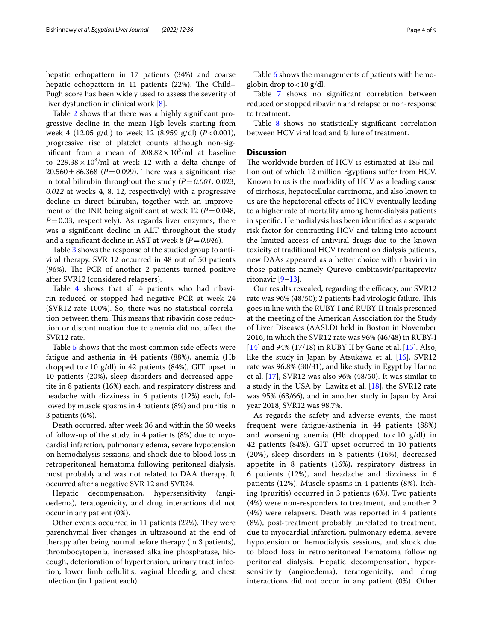hepatic echopattern in 17 patients (34%) and coarse hepatic echopattern in 11 patients (22%). The Child-Pugh score has been widely used to assess the severity of liver dysfunction in clinical work [[8\]](#page-7-7).

Table [2](#page-4-0) shows that there was a highly signifcant progressive decline in the mean Hgb levels starting from week 4 (12.05 g/dl) to week 12 (8.959 g/dl) (*P*<0.001), progressive rise of platelet counts although non-significant from a mean of  $208.82 \times 10^3$ /ml at baseline to  $229.38 \times 10^3$ /ml at week 12 with a delta change of  $20.560 \pm 86.368$  (*P*=0.099). There was a significant rise in total bilirubin throughout the study  $(P=0.001, 0.023,$ *0.012* at weeks 4, 8, 12, respectively) with a progressive decline in direct bilirubin, together with an improvement of the INR being significant at week 12 ( $P = 0.048$ , *P*=0.03, respectively). As regards liver enzymes, there was a signifcant decline in ALT throughout the study and a significant decline in AST at week 8 ( $P = 0.046$ ).

Table [3](#page-5-0) shows the response of the studied group to antiviral therapy. SVR 12 occurred in 48 out of 50 patients (96%). The PCR of another 2 patients turned positive after SVR12 (considered relapsers).

Table [4](#page-5-1) shows that all 4 patients who had ribavirin reduced or stopped had negative PCR at week 24 (SVR12 rate 100%). So, there was no statistical correlation between them. This means that ribavirin dose reduction or discontinuation due to anemia did not afect the SVR12 rate.

Table [5](#page-5-2) shows that the most common side effects were fatigue and asthenia in 44 patients (88%), anemia (Hb dropped to < 10 g/dl) in 42 patients (84%), GIT upset in 10 patients (20%), sleep disorders and decreased appetite in 8 patients (16%) each, and respiratory distress and headache with dizziness in 6 patients (12%) each, followed by muscle spasms in 4 patients (8%) and pruritis in 3 patients (6%).

Death occurred, after week 36 and within the 60 weeks of follow-up of the study, in 4 patients (8%) due to myocardial infarction, pulmonary edema, severe hypotension on hemodialysis sessions, and shock due to blood loss in retroperitoneal hematoma following peritoneal dialysis, most probably and was not related to DAA therapy. It occurred after a negative SVR 12 and SVR24.

Hepatic decompensation, hypersensitivity (angioedema), teratogenicity, and drug interactions did not occur in any patient (0%).

Other events occurred in 11 patients (22%). They were parenchymal liver changes in ultrasound at the end of therapy after being normal before therapy (in 3 patients), thrombocytopenia, increased alkaline phosphatase, hiccough, deterioration of hypertension, urinary tract infection, lower limb cellulitis, vaginal bleeding, and chest infection (in 1 patient each).

Table [6](#page-5-3) shows the managements of patients with hemoglobin drop to  $<$  10 g/dl.

Table [7](#page-6-0) shows no signifcant correlation between reduced or stopped ribavirin and relapse or non-response to treatment.

Table [8](#page-6-1) shows no statistically significant correlation between HCV viral load and failure of treatment.

# **Discussion**

The worldwide burden of HCV is estimated at 185 million out of which 12 million Egyptians sufer from HCV. Known to us is the morbidity of HCV as a leading cause of cirrhosis, hepatocellular carcinoma, and also known to us are the hepatorenal efects of HCV eventually leading to a higher rate of mortality among hemodialysis patients in specifc. Hemodialysis has been identifed as a separate risk factor for contracting HCV and taking into account the limited access of antiviral drugs due to the known toxicity of traditional HCV treatment on dialysis patients, new DAAs appeared as a better choice with ribavirin in those patients namely Qurevo ombitasvir/paritaprevir/ ritonavir  $[9-13]$  $[9-13]$ .

Our results revealed, regarding the efficacy, our SVR12 rate was 96% (48/50); 2 patients had virologic failure. This goes in line with the RUBY-I and RUBY-II trials presented at the meeting of the American Association for the Study of Liver Diseases (AASLD) held in Boston in November 2016, in which the SVR12 rate was 96% (46/48) in RUBY-I [[14\]](#page-7-10) and 94% (17/18) in RUBY-II by Gane et al. [\[15](#page-7-11)]. Also, like the study in Japan by Atsukawa et al. [\[16](#page-8-0)], SVR12 rate was 96.8% (30/31), and like study in Egypt by Hanno et al. [[17\]](#page-8-1), SVR12 was also 96% (48/50). It was similar to a study in the USA by Lawitz et al.  $[18]$  $[18]$ , the SVR12 rate was 95% (63/66), and in another study in Japan by Arai year 2018, SVR12 was 98.7%.

As regards the safety and adverse events, the most frequent were fatigue/asthenia in 44 patients (88%) and worsening anemia (Hb dropped to < 10  $g/dl$ ) in 42 patients (84%). GIT upset occurred in 10 patients (20%), sleep disorders in 8 patients (16%), decreased appetite in 8 patients (16%), respiratory distress in 6 patients (12%), and headache and dizziness in 6 patients (12%). Muscle spasms in 4 patients (8%). Itching (pruritis) occurred in 3 patients (6%). Two patients (4%) were non-responders to treatment, and another 2 (4%) were relapsers. Death was reported in 4 patients (8%), post-treatment probably unrelated to treatment, due to myocardial infarction, pulmonary edema, severe hypotension on hemodialysis sessions, and shock due to blood loss in retroperitoneal hematoma following peritoneal dialysis. Hepatic decompensation, hypersensitivity (angioedema), teratogenicity, and drug interactions did not occur in any patient (0%). Other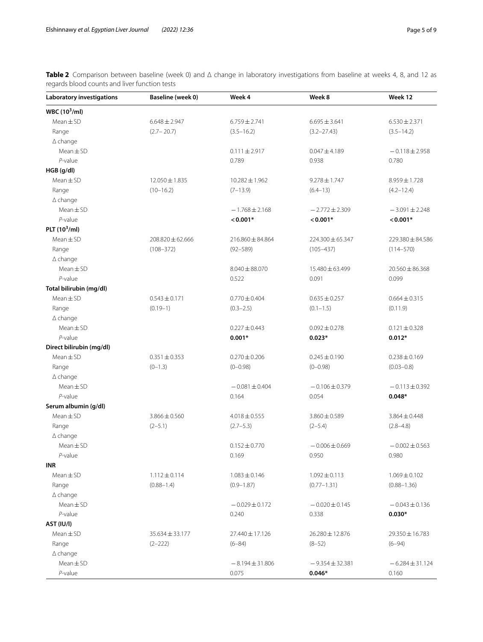<span id="page-4-0"></span>**Table 2** Comparison between baseline (week 0) and Δ change in laboratory investigations from baseline at weeks 4, 8, and 12 as regards blood counts and liver function tests

| <b>Laboratory investigations</b> | Baseline (week 0)    | Week 4              | Week 8              | Week 12             |
|----------------------------------|----------------------|---------------------|---------------------|---------------------|
| WBC $(10^3$ /ml)                 |                      |                     |                     |                     |
| $Mean \pm SD$                    | $6.648 \pm 2.947$    | $6.759 \pm 2.741$   | $6.695 \pm 3.641$   | $6.530 \pm 2.371$   |
| Range                            | $(2.7 - 20.7)$       | $(3.5 - 16.2)$      | $(3.2 - 27.43)$     | $(3.5 - 14.2)$      |
| $\Delta$ change                  |                      |                     |                     |                     |
| $Mean \pm SD$                    |                      | $0.111 \pm 2.917$   | $0.047 \pm 4.189$   | $-0.118 \pm 2.958$  |
| $P$ -value                       |                      | 0.789               | 0.938               | 0.780               |
| HGB (g/dl)                       |                      |                     |                     |                     |
| $Mean \pm SD$                    | $12.050 \pm 1.835$   | $10.282 \pm 1.962$  | $9.278 \pm 1.747$   | 8.959±1.728         |
| Range                            | $(10-16.2)$          | $(7-13.9)$          | $(6.4 - 13)$        | $(4.2 - 12.4)$      |
| $\Delta$ change                  |                      |                     |                     |                     |
| $Mean \pm SD$                    |                      | $-1.768 \pm 2.168$  | $-2.772 \pm 2.309$  | $-3.091 \pm 2.248$  |
| $P$ -value                       |                      | $< 0.001*$          | $< 0.001*$          | $0.001*$            |
| PLT $(10^3$ /ml)                 |                      |                     |                     |                     |
| $Mean \pm SD$                    | $208.820 \pm 62.666$ | 216.860 ± 84.864    | 224.300 ± 65.347    | 229.380 ± 84.586    |
| Range                            | $(108 - 372)$        | $(92 - 589)$        | $(105 - 437)$       | $(114 - 570)$       |
| $\Delta$ change                  |                      |                     |                     |                     |
| $Mean \pm SD$                    |                      | $8.040 \pm 88.070$  | 15.480 ± 63.499     | $20.560 \pm 86.368$ |
| $P$ -value                       |                      | 0.522               | 0.091               | 0.099               |
| Total bilirubin (mg/dl)          |                      |                     |                     |                     |
| $Mean \pm SD$                    | $0.543 \pm 0.171$    | $0.770 \pm 0.404$   | $0.635 \pm 0.257$   | $0.664 \pm 0.315$   |
| Range                            | $(0.19-1)$           | $(0.3 - 2.5)$       | $(0.1 - 1.5)$       | (0.11.9)            |
| $\Delta$ change                  |                      |                     |                     |                     |
| $Mean \pm SD$                    |                      | $0.227 \pm 0.443$   | $0.092 \pm 0.278$   | $0.121 \pm 0.328$   |
| $P$ -value                       |                      | $0.001*$            | $0.023*$            | $0.012*$            |
| Direct bilirubin (mg/dl)         |                      |                     |                     |                     |
| $Mean \pm SD$                    | $0.351 \pm 0.353$    | $0.270 \pm 0.206$   | $0.245 \pm 0.190$   | $0.238 \pm 0.169$   |
| Range                            | $(0-1.3)$            | $(0 - 0.98)$        | $(0 - 0.98)$        | $(0.03 - 0.8)$      |
| $\Delta$ change                  |                      |                     |                     |                     |
| $Mean \pm SD$                    |                      | $-0.081 \pm 0.404$  | $-0.106 \pm 0.379$  | $-0.113 \pm 0.392$  |
| $P$ -value                       |                      | 0.164               | 0.054               | $0.048*$            |
| Serum albumin (g/dl)             |                      |                     |                     |                     |
| $Mean \pm SD$                    | $3.866 \pm 0.560$    | $4.018 \pm 0.555$   | $3.860 \pm 0.589$   | $3.864 \pm 0.448$   |
| Range                            | $(2-5.1)$            | $(2.7 - 5.3)$       | $(2-5.4)$           | $(2.8 - 4.8)$       |
| $\Delta$ change                  |                      |                     |                     |                     |
| $Mean \pm SD$                    |                      | $0.152 \pm 0.770$   | $-0.006 \pm 0.669$  | $-0.002 \pm 0.563$  |
| $P$ -value                       |                      | 0.169               | 0.950               | 0.980               |
| INR                              |                      |                     |                     |                     |
| $Mean \pm SD$                    | $1.112 \pm 0.114$    | $1.083 \pm 0.146$   | $1.092 \pm 0.113$   | $1.069 \pm 0.102$   |
| Range                            | $(0.88 - 1.4)$       | $(0.9 - 1.87)$      | $(0.77 - 1.31)$     | $(0.88 - 1.36)$     |
| $\Delta$ change                  |                      |                     |                     |                     |
| $Mean \pm SD$                    |                      | $-0.029 \pm 0.172$  | $-0.020 \pm 0.145$  | $-0.043 \pm 0.136$  |
| $P$ -value                       |                      | 0.240               | 0.338               | $0.030*$            |
| AST (IU/I)                       |                      |                     |                     |                     |
| $Mean \pm SD$                    |                      |                     |                     | 29.350 ± 16.783     |
|                                  | $35.634 \pm 33.177$  | 27.440 ± 17.126     | 26.280 ± 12.876     |                     |
| Range                            | $(2 - 222)$          | $(6 - 84)$          | $(8-52)$            | $(6-94)$            |
| $\Delta$ change<br>$Mean \pm SD$ |                      |                     |                     |                     |
|                                  |                      | $-8.194 \pm 31.806$ | $-9.354 \pm 32.381$ | $-6.284 \pm 31.124$ |
| $P$ -value                       |                      | 0.075               | $0.046*$            | 0.160               |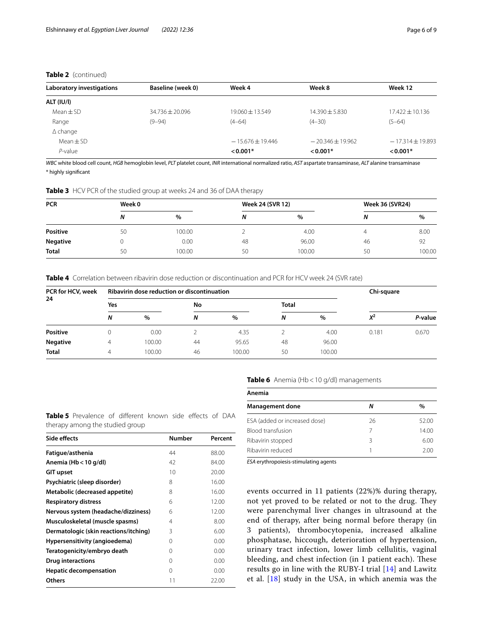# **Table 2** (continued)

| Laboratory investigations | Baseline (week 0) | Week 4              | Week 8             | Week 12            |
|---------------------------|-------------------|---------------------|--------------------|--------------------|
| <b>ALT (IU/I)</b>         |                   |                     |                    |                    |
| $Mean \pm SD$             | $34.736 + 20.096$ | $19.060 \pm 13.549$ | $14.390 + 5.830$   | $17.422 + 10.136$  |
| Range                     | $(9 - 94)$        | $(4 - 64)$          | $(4 - 30)$         | $(5-64)$           |
| $\Delta$ change           |                   |                     |                    |                    |
| Mean $\pm$ SD             |                   | $-15.676 + 19.446$  | $-20.346 + 19.962$ | $-17.314 + 19.893$ |
| $P$ -value                |                   | $0.001*$            | $< 0.001*$         | $< 0.001*$         |

*WBC* white blood cell count, *HGB* hemoglobin level, *PLT* platelet count, *INR* international normalized ratio, *AST* aspartate transaminase, *ALT* alanine transaminase \* highly signifcant

<span id="page-5-0"></span>**Table 3** HCV PCR of the studied group at weeks 24 and 36 of DAA therapy

| <b>PCR</b>      | Week 0 |        |    | <b>Week 24 (SVR 12)</b> | <b>Week 36 (SVR24)</b> |        |
|-----------------|--------|--------|----|-------------------------|------------------------|--------|
|                 | N      | $\%$   | Ν  | %                       | Ν                      | $\%$   |
| <b>Positive</b> | 50     | 100.00 |    | 4.00                    |                        | 8.00   |
| <b>Negative</b> |        | 0.00   | 48 | 96.00                   | 46                     | 92     |
| <b>Total</b>    | 50     | 100.00 | 50 | 00.00                   | 50                     | 100.00 |

<span id="page-5-1"></span>**Table 4** Correlation between ribavirin dose reduction or discontinuation and PCR for HCV week 24 (SVR rate)

| PCR for HCV, week<br>24 |     | Ribavirin dose reduction or discontinuation | Chi-square |        |              |        |       |         |
|-------------------------|-----|---------------------------------------------|------------|--------|--------------|--------|-------|---------|
|                         | Yes |                                             | No         |        | <b>Total</b> |        |       |         |
|                         | N   | $\%$                                        | N          | %      | N            | $\%$   | $X^2$ | P-value |
| <b>Positive</b>         |     | 0.00                                        |            | 4.35   |              | 4.00   | 0.181 | 0.670   |
| <b>Negative</b>         |     | 100.00                                      | 44         | 95.65  | 48           | 96.00  |       |         |
| <b>Total</b>            | 4   | 100.00                                      | 46         | 100.00 | 50           | 100.00 |       |         |

<span id="page-5-2"></span>**Table 5** Prevalence of different known side effects of DAA therapy among the studied group

| Side effects                          | <b>Number</b> | Percent |
|---------------------------------------|---------------|---------|
| Fatigue/asthenia                      | 44            | 88.00   |
| Anemia (Hb < 10 g/dl)                 | 42            | 84.00   |
| GIT upset                             | 10            | 20.00   |
| Psychiatric (sleep disorder)          | 8             | 16.00   |
| Metabolic (decreased appetite)        | 8             | 16.00   |
| <b>Respiratory distress</b>           | 6             | 12.00   |
| Nervous system (headache/dizziness)   | 6             | 12.00   |
| Musculoskeletal (muscle spasms)       | 4             | 8.00    |
| Dermatologic (skin reactions/itching) | 3             | 6.00    |
| Hypersensitivity (angioedema)         | 0             | 0.00    |
| Teratogenicity/embryo death           | 0             | 0.00    |
| <b>Drug interactions</b>              | 0             | 0.00    |
| <b>Hepatic decompensation</b>         | 0             | 0.00    |
| Others                                | 11            | 22.00   |

# <span id="page-5-3"></span>**Table 6** Anemia (Hb<10 g/dl) managements

| Anemia                        |    |       |  |  |  |  |
|-------------------------------|----|-------|--|--|--|--|
| <b>Management done</b>        | Ν  | %     |  |  |  |  |
| ESA (added or increased dose) | 26 | 52.00 |  |  |  |  |
| <b>Blood transfusion</b>      |    | 14.00 |  |  |  |  |
| Ribavirin stopped             | 3  | 6.00  |  |  |  |  |
| Ribavirin reduced             |    | 2.00  |  |  |  |  |

*ESA* erythropoiesis-stimulating agents

events occurred in 11 patients (22%)% during therapy, not yet proved to be related or not to the drug. They were parenchymal liver changes in ultrasound at the end of therapy, after being normal before therapy (in 3 patients), thrombocytopenia, increased alkaline phosphatase, hiccough, deterioration of hypertension, urinary tract infection, lower limb cellulitis, vaginal bleeding, and chest infection (in 1 patient each). These results go in line with the RUBY-I trial [[14\]](#page-7-10) and Lawitz et al. [[18\]](#page-8-2) study in the USA, in which anemia was the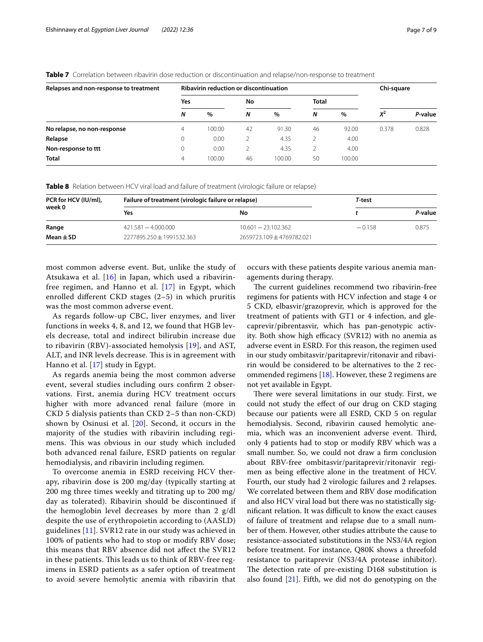<span id="page-6-0"></span>**Table 7** Correlation between ribavirin dose reduction or discontinuation and relapse/non-response to treatment

| Relapses and non-response to treatment |             | <b>Ribavirin reduction or discontinuation</b> | Chi-square |        |              |        |       |         |
|----------------------------------------|-------------|-----------------------------------------------|------------|--------|--------------|--------|-------|---------|
|                                        | Yes         |                                               | No         |        | <b>Total</b> |        |       |         |
|                                        | N           | $\%$                                          | N          | %      | N            | %      | $X^2$ | P-value |
| No relapse, no non-response            | 4           | 100.00                                        | 42         | 91.30  | 46           | 92.00  | 0.378 | 0.828   |
| Relapse                                | 0           | 0.00                                          |            | 4.35   |              | 4.00   |       |         |
| Non-response to ttt                    | $\mathbf 0$ | 0.00                                          |            | 4.35   |              | 4.00   |       |         |
| <b>Total</b>                           | 4           | 100.00                                        | 46         | 100.00 | 50           | 100.00 |       |         |

<span id="page-6-1"></span>**Table 8** Relation between HCV viral load and failure of treatment (virologic failure or relapse)

| PCR for HCV (IU/ml),<br>week 0 | Failure of treatment (virologic failure or relapse) | T-test                    |          |         |
|--------------------------------|-----------------------------------------------------|---------------------------|----------|---------|
|                                | Yes                                                 | No                        |          | P-value |
| Range                          | $421.581 - 4.000.000$                               | $10.601 - 23.102.362$     | $-0.158$ | 0.875   |
| Mean $\pm$ SD                  | 2277895.250 ± 1991532.363                           | 2659723.109 + 4769782.021 |          |         |

most common adverse event. But, unlike the study of Atsukawa et al. [\[16](#page-8-0)] in Japan, which used a ribavirinfree regimen, and Hanno et al. [[17\]](#page-8-1) in Egypt, which enrolled diferent CKD stages (2–5) in which pruritis was the most common adverse event.

As regards follow-up CBC, liver enzymes, and liver functions in weeks 4, 8, and 12, we found that HGB levels decrease, total and indirect bilirubin increase due to ribavirin (RBV)-associated hemolysis [[19\]](#page-8-3), and AST, ALT, and INR levels decrease. This is in agreement with Hanno et al. [[17\]](#page-8-1) study in Egypt.

As regards anemia being the most common adverse event, several studies including ours confrm 2 observations. First, anemia during HCV treatment occurs higher with more advanced renal failure (more in CKD 5 dialysis patients than CKD 2–5 than non-CKD) shown by Osinusi et al. [[20\]](#page-8-4). Second, it occurs in the majority of the studies with ribavirin including regimens. This was obvious in our study which included both advanced renal failure, ESRD patients on regular hemodialysis, and ribavirin including regimen.

To overcome anemia in ESRD receiving HCV therapy, ribavirin dose is 200 mg/day (typically starting at 200 mg three times weekly and titrating up to 200 mg/ day as tolerated). Ribavirin should be discontinued if the hemoglobin level decreases by more than 2 g/dl despite the use of erythropoietin according to (AASLD) guidelines [[11](#page-7-12)]. SVR12 rate in our study was achieved in 100% of patients who had to stop or modify RBV dose; this means that RBV absence did not afect the SVR12 in these patients. This leads us to think of RBV-free regimens in ESRD patients as a safer option of treatment to avoid severe hemolytic anemia with ribavirin that occurs with these patients despite various anemia managements during therapy.

The current guidelines recommend two ribavirin-free regimens for patients with HCV infection and stage 4 or 5 CKD, elbasvir/grazoprevir, which is approved for the treatment of patients with GT1 or 4 infection, and glecaprevir/pibrentasvir, which has pan-genotypic activity. Both show high efficacy (SVR12) with no anemia as adverse event in ESRD. For this reason, the regimen used in our study ombitasvir/paritaprevir/ritonavir and ribavirin would be considered to be alternatives to the 2 recommended regimens [[18\]](#page-8-2). However, these 2 regimens are not yet available in Egypt.

There were several limitations in our study. First, we could not study the efect of our drug on CKD staging because our patients were all ESRD, CKD 5 on regular hemodialysis. Second, ribavirin caused hemolytic anemia, which was an inconvenient adverse event. Third, only 4 patients had to stop or modify RBV which was a small number. So, we could not draw a frm conclusion about RBV-free ombitasvir/paritaprevir/ritonavir regimen as being efective alone in the treatment of HCV. Fourth, our study had 2 virologic failures and 2 relapses. We correlated between them and RBV dose modifcation and also HCV viral load but there was no statistically significant relation. It was difficult to know the exact causes of failure of treatment and relapse due to a small number of them. However, other studies attribute the cause to resistance-associated substitutions in the NS3/4A region before treatment. For instance, Q80K shows a threefold resistance to paritaprevir (NS3/4A protease inhibitor). The detection rate of pre-existing D168 substitution is also found  $[21]$  $[21]$ . Fifth, we did not do genotyping on the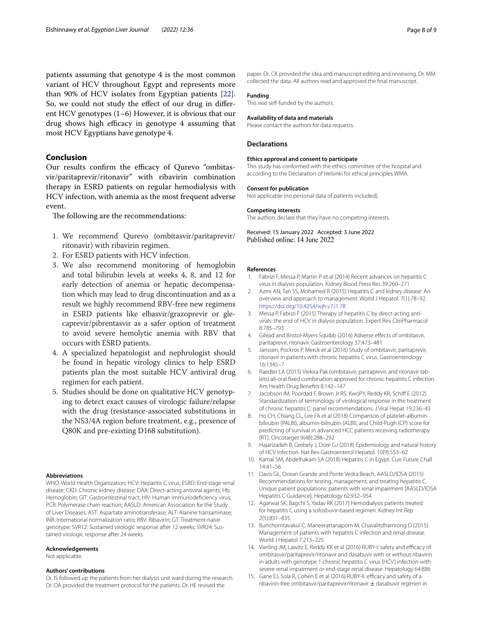patients assuming that genotype 4 is the most common variant of HCV throughout Egypt and represents more than 90% of HCV isolates from Egyptian patients [\[22](#page-8-6)]. So, we could not study the effect of our drug in different HCV genotypes (1–6) However, it is obvious that our drug shows high efficacy in genotype 4 assuming that most HCV Egyptians have genotype 4.

## **Conclusion**

Our results confirm the efficacy of Qurevo "ombitasvir/paritaprevir/ritonavir" with ribavirin combination therapy in ESRD patients on regular hemodialysis with HCV infection, with anemia as the most frequent adverse event.

The following are the recommendations:

- 1. We recommend Qurevo (ombitasvir/paritaprevir/ ritonavir) with ribavirin regimen.
- 2. For ESRD patients with HCV infection.
- 3. We also recommend monitoring of hemoglobin and total bilirubin levels at weeks 4, 8, and 12 for early detection of anemia or hepatic decompensation which may lead to drug discontinuation and as a result we highly recommend RBV-free new regimens in ESRD patients like elbasvir/grazoprevir or glecaprevir/pibrentasvir as a safer option of treatment to avoid severe hemolytic anemia with RBV that occurs with ESRD patients.
- 4. A specialized hepatologist and nephrologist should be found in hepatic virology clinics to help ESRD patients plan the most suitable HCV antiviral drug regimen for each patient.
- 5. Studies should be done on qualitative HCV genotyping to detect exact causes of virologic failure/relapse with the drug (resistance-associated substitutions in the NS3/4A region before treatment, e.g., presence of Q80K and pre-existing D168 substitution).

#### **Abbreviations**

WHO: World Health Organization; HCV: Hepatitis C virus; ESRD: End-stage renal disease; CKD: Chronic kidney disease; DAA: Direct-acting antiviral agents; Hb: Hemoglobin; GIT: Gastrointestinal tract; HIV: Human immunodefciency virus; PCR: Polymerase chain reaction; AASLD: American Association for the Study of Liver Diseases; AST: Aspartate aminotransferase; ALT: Alanine transaminase; INR: International normalization ratio; RBV: Ribavirin; GT: Treatment-naïve genotype; SVR12: Sustained virologic response after 12 weeks; SVR24: Sustained virologic response after 24 weeks.

#### **Acknowledgements**

Not applicable.

#### **Authors' contributions**

Dr. IS followed up the patients from her dialysis unit ward during the research. Dr. OA provided the treatment protocol for the patients. Dr. HE revised the

paper. Dr. CK provided the idea and manuscript editing and reviewing. Dr. MM collected the data. All authors read and approved the fnal manuscript.

#### **Funding**

This was self-funded by the authors.

#### **Availability of data and materials**

Please contact the authors for data requests.

#### **Declarations**

#### **Ethics approval and consent to participate**

This study has conformed with the ethics committee of the hospital and according to the Declaration of Helsinki for ethical principles WMA.

# **Consent for publication**

Not applicable (no personal data of patients included).

# **Competing interests**

The authors declare that they have no competing interests.

Received: 15 January 2022 Accepted: 3 June 2022<br>Published online: 14 June 2022

#### **References**

- <span id="page-7-0"></span>1. Fabrizi F, Messa P, Martin P et al (2014) Recent advances on hepatitis C virus in dialysis population. Kidney Blood Press Res 39:260–271
- <span id="page-7-1"></span>2. Azmi AN, Tan SS, Mohamed R (2015) Hepatitis C and kidney disease: An overview and approach to management. World J Hepatol. 7(1):78–92. <https://doi.org/10.4254/wjh.v7.i1.78>
- <span id="page-7-2"></span>3. Messa P, Fabrizi F (2015) Therapy of hepatitis C by direct-acting antivirals: the end of HCV in dialysis population. Expert Rev ClinPharmacol 8:785–793
- <span id="page-7-3"></span>4. Gilead and Bristol-Myers Squibb (2016) Adverse effects of ombitasvir, paritaprevir, ritonavir. Gastroenterology 37:473–481
- <span id="page-7-4"></span>5. Janssen, Pockros P, Merck et al (2016) Study of ombitasvir, paritaprevir, ritonavir in patients with chronic hepatitis C virus. Gastroenterology 16:1345–7
- <span id="page-7-5"></span>6. Raedler LA (2015) Viekira Pak (ombitasvir, paritaprevir, and ritonavir tablets) all-oral fxed combination approved for chronic hepatitis C infection. Am Health Drug Benefts 8:142–147
- <span id="page-7-6"></span>7. Jacobson IM, Poordad F, Brown Jr RS, KwoPY, Reddy KR, Schiff E (2012) Standardization of terminology of virological response in the treatment of chronic hepatitis C: panel recommendations. J Viral Hepat 19:236–43
- <span id="page-7-7"></span>8. Ho CH, Chiang CL, Lee FA et al (2018) Comparison of platelet-albuminbilirubin (PALBI), albumin-bilirubin (ALBI), and Child-Pugh (CP) score for predicting of survival in advanced HCC patients receiving radiotherapy (RT). Oncotarget 9(48):288–292
- <span id="page-7-8"></span>9. Hajarizadeh B, Grebely J, Dore GJ (2018) Epidemiology and natural history of HCV infection. Nat Rev Gastroenterol Hepatol. 10(9):553–62
- 10. Kamal SM, Abdelhakam SA (2018) Hepatitis C in Egypt. Curr Future Chall 14:41–56
- <span id="page-7-12"></span>11. Davis GL, Ocean Grande and Ponte Vedra Beach, AASLD/IDSA (2015) Recommendations for testing, management, and treating hepatitis C. Unique patient populations: patients with renal impairment [AASLD/IDSA Hepatitis C Guidance]. Hepatology 62:932–954
- 12. Agarwal SK, Bagchi S, Yadav RK (2017) Hemodialysis patients treated for hepatitis C using a sofosbuvir-based regimen. Kidney Int Rep 2(5):831–835
- <span id="page-7-9"></span>13. Bunchorntavakul C, Maneerattanaporn M, Chavalitdhamrong D (2015) Management of patients with hepatitis C infection and renal disease. World J Hepatol 7:213–225
- <span id="page-7-10"></span>14. Vierling JM, Lawitz E, Reddy KR et al (2016) RUBY-I: safety and efficacy of ombitasvir/paritaprevir/ritonavir and dasabuvir with or without ribavirin in adults with genotype 1 chronic hepatitis C virus (HCV) infection with severe renal impairment or end-stage renal disease. Hepatology 64:886
- <span id="page-7-11"></span>15. Gane EJ, Sola R, Cohen E et al (2016) RUBY-II: efficacy and safety of a ribavirin-free ombitasvir/paritaprevir/ritonavir  $\pm$  dasabuvir regimen in